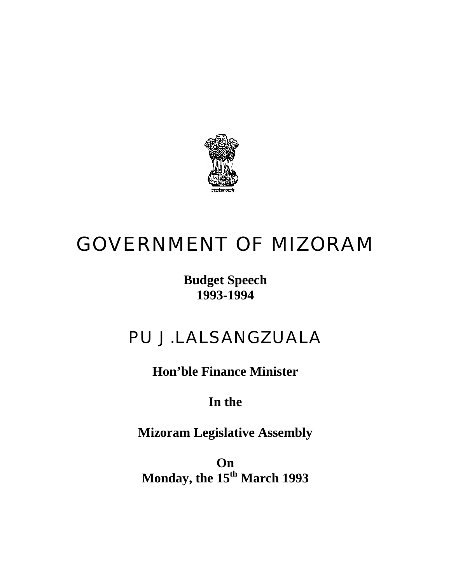

# GOVERNMENT OF MIZORAM

### **Budget Speech 1993-1994**

## PU J.LALSANGZUALA

**Hon'ble Finance Minister** 

## **In the**

**Mizoram Legislative Assembly** 

**On Monday, the 15th March 1993**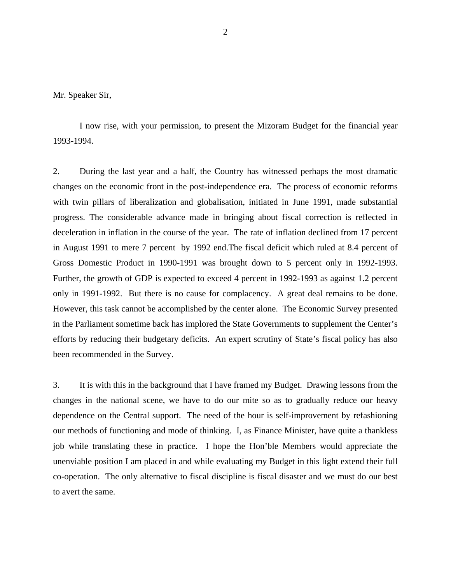Mr. Speaker Sir,

 I now rise, with your permission, to present the Mizoram Budget for the financial year 1993-1994.

2. During the last year and a half, the Country has witnessed perhaps the most dramatic changes on the economic front in the post-independence era. The process of economic reforms with twin pillars of liberalization and globalisation, initiated in June 1991, made substantial progress. The considerable advance made in bringing about fiscal correction is reflected in deceleration in inflation in the course of the year. The rate of inflation declined from 17 percent in August 1991 to mere 7 percent by 1992 end.The fiscal deficit which ruled at 8.4 percent of Gross Domestic Product in 1990-1991 was brought down to 5 percent only in 1992-1993. Further, the growth of GDP is expected to exceed 4 percent in 1992-1993 as against 1.2 percent only in 1991-1992. But there is no cause for complacency. A great deal remains to be done. However, this task cannot be accomplished by the center alone. The Economic Survey presented in the Parliament sometime back has implored the State Governments to supplement the Center's efforts by reducing their budgetary deficits. An expert scrutiny of State's fiscal policy has also been recommended in the Survey.

3. It is with this in the background that I have framed my Budget. Drawing lessons from the changes in the national scene, we have to do our mite so as to gradually reduce our heavy dependence on the Central support. The need of the hour is self-improvement by refashioning our methods of functioning and mode of thinking. I, as Finance Minister, have quite a thankless job while translating these in practice. I hope the Hon'ble Members would appreciate the unenviable position I am placed in and while evaluating my Budget in this light extend their full co-operation. The only alternative to fiscal discipline is fiscal disaster and we must do our best to avert the same.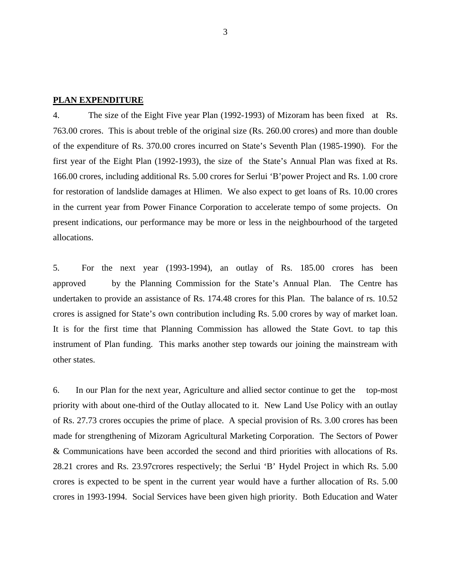#### **PLAN EXPENDITURE**

4. The size of the Eight Five year Plan (1992-1993) of Mizoram has been fixed at Rs. 763.00 crores. This is about treble of the original size (Rs. 260.00 crores) and more than double of the expenditure of Rs. 370.00 crores incurred on State's Seventh Plan (1985-1990). For the first year of the Eight Plan (1992-1993), the size of the State's Annual Plan was fixed at Rs. 166.00 crores, including additional Rs. 5.00 crores for Serlui 'B'power Project and Rs. 1.00 crore for restoration of landslide damages at Hlimen. We also expect to get loans of Rs. 10.00 crores in the current year from Power Finance Corporation to accelerate tempo of some projects. On present indications, our performance may be more or less in the neighbourhood of the targeted allocations.

5. For the next year (1993-1994), an outlay of Rs. 185.00 crores has been approved by the Planning Commission for the State's Annual Plan. The Centre has undertaken to provide an assistance of Rs. 174.48 crores for this Plan. The balance of rs. 10.52 crores is assigned for State's own contribution including Rs. 5.00 crores by way of market loan. It is for the first time that Planning Commission has allowed the State Govt. to tap this instrument of Plan funding. This marks another step towards our joining the mainstream with other states.

6. In our Plan for the next year, Agriculture and allied sector continue to get the top-most priority with about one-third of the Outlay allocated to it. New Land Use Policy with an outlay of Rs. 27.73 crores occupies the prime of place. A special provision of Rs. 3.00 crores has been made for strengthening of Mizoram Agricultural Marketing Corporation. The Sectors of Power & Communications have been accorded the second and third priorities with allocations of Rs. 28.21 crores and Rs. 23.97crores respectively; the Serlui 'B' Hydel Project in which Rs. 5.00 crores is expected to be spent in the current year would have a further allocation of Rs. 5.00 crores in 1993-1994. Social Services have been given high priority. Both Education and Water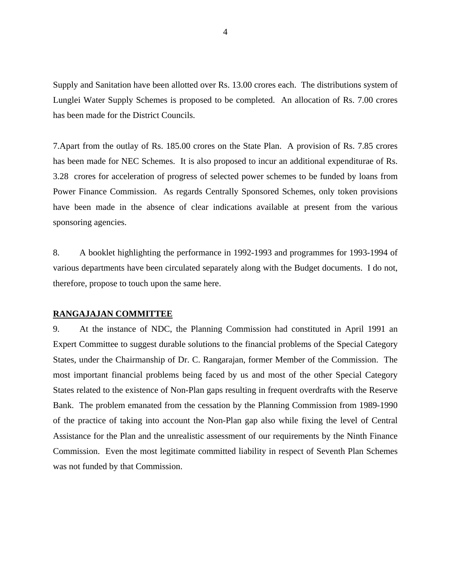Supply and Sanitation have been allotted over Rs. 13.00 crores each. The distributions system of Lunglei Water Supply Schemes is proposed to be completed. An allocation of Rs. 7.00 crores has been made for the District Councils.

7.Apart from the outlay of Rs. 185.00 crores on the State Plan. A provision of Rs. 7.85 crores has been made for NEC Schemes. It is also proposed to incur an additional expenditurae of Rs. 3.28 crores for acceleration of progress of selected power schemes to be funded by loans from Power Finance Commission. As regards Centrally Sponsored Schemes, only token provisions have been made in the absence of clear indications available at present from the various sponsoring agencies.

8. A booklet highlighting the performance in 1992-1993 and programmes for 1993-1994 of various departments have been circulated separately along with the Budget documents. I do not, therefore, propose to touch upon the same here.

#### **RANGAJAJAN COMMITTEE**

9. At the instance of NDC, the Planning Commission had constituted in April 1991 an Expert Committee to suggest durable solutions to the financial problems of the Special Category States, under the Chairmanship of Dr. C. Rangarajan, former Member of the Commission. The most important financial problems being faced by us and most of the other Special Category States related to the existence of Non-Plan gaps resulting in frequent overdrafts with the Reserve Bank. The problem emanated from the cessation by the Planning Commission from 1989-1990 of the practice of taking into account the Non-Plan gap also while fixing the level of Central Assistance for the Plan and the unrealistic assessment of our requirements by the Ninth Finance Commission. Even the most legitimate committed liability in respect of Seventh Plan Schemes was not funded by that Commission.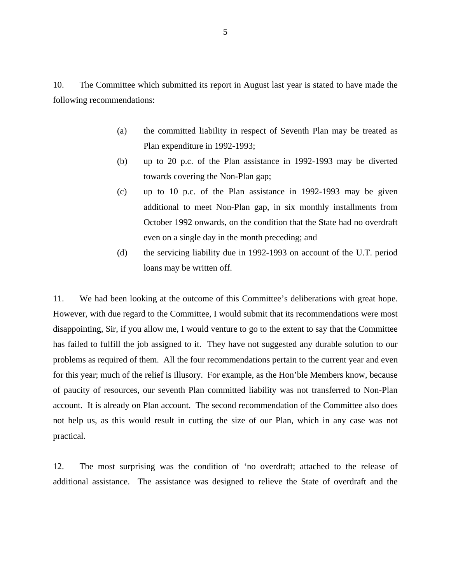10. The Committee which submitted its report in August last year is stated to have made the following recommendations:

- (a) the committed liability in respect of Seventh Plan may be treated as Plan expenditure in 1992-1993;
- (b) up to 20 p.c. of the Plan assistance in 1992-1993 may be diverted towards covering the Non-Plan gap;
- (c) up to 10 p.c. of the Plan assistance in 1992-1993 may be given additional to meet Non-Plan gap, in six monthly installments from October 1992 onwards, on the condition that the State had no overdraft even on a single day in the month preceding; and
- (d) the servicing liability due in 1992-1993 on account of the U.T. period loans may be written off.

11. We had been looking at the outcome of this Committee's deliberations with great hope. However, with due regard to the Committee, I would submit that its recommendations were most disappointing, Sir, if you allow me, I would venture to go to the extent to say that the Committee has failed to fulfill the job assigned to it. They have not suggested any durable solution to our problems as required of them. All the four recommendations pertain to the current year and even for this year; much of the relief is illusory. For example, as the Hon'ble Members know, because of paucity of resources, our seventh Plan committed liability was not transferred to Non-Plan account. It is already on Plan account. The second recommendation of the Committee also does not help us, as this would result in cutting the size of our Plan, which in any case was not practical.

12. The most surprising was the condition of 'no overdraft; attached to the release of additional assistance. The assistance was designed to relieve the State of overdraft and the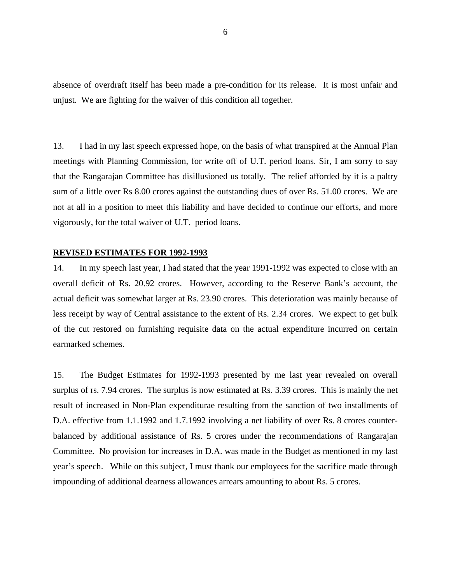absence of overdraft itself has been made a pre-condition for its release. It is most unfair and unjust. We are fighting for the waiver of this condition all together.

13. I had in my last speech expressed hope, on the basis of what transpired at the Annual Plan meetings with Planning Commission, for write off of U.T. period loans. Sir, I am sorry to say that the Rangarajan Committee has disillusioned us totally. The relief afforded by it is a paltry sum of a little over Rs 8.00 crores against the outstanding dues of over Rs. 51.00 crores. We are not at all in a position to meet this liability and have decided to continue our efforts, and more vigorously, for the total waiver of U.T. period loans.

#### **REVISED ESTIMATES FOR 1992-1993**

14. In my speech last year, I had stated that the year 1991-1992 was expected to close with an overall deficit of Rs. 20.92 crores. However, according to the Reserve Bank's account, the actual deficit was somewhat larger at Rs. 23.90 crores. This deterioration was mainly because of less receipt by way of Central assistance to the extent of Rs. 2.34 crores. We expect to get bulk of the cut restored on furnishing requisite data on the actual expenditure incurred on certain earmarked schemes.

15. The Budget Estimates for 1992-1993 presented by me last year revealed on overall surplus of rs. 7.94 crores. The surplus is now estimated at Rs. 3.39 crores. This is mainly the net result of increased in Non-Plan expenditurae resulting from the sanction of two installments of D.A. effective from 1.1.1992 and 1.7.1992 involving a net liability of over Rs. 8 crores counterbalanced by additional assistance of Rs. 5 crores under the recommendations of Rangarajan Committee. No provision for increases in D.A. was made in the Budget as mentioned in my last year's speech. While on this subject, I must thank our employees for the sacrifice made through impounding of additional dearness allowances arrears amounting to about Rs. 5 crores.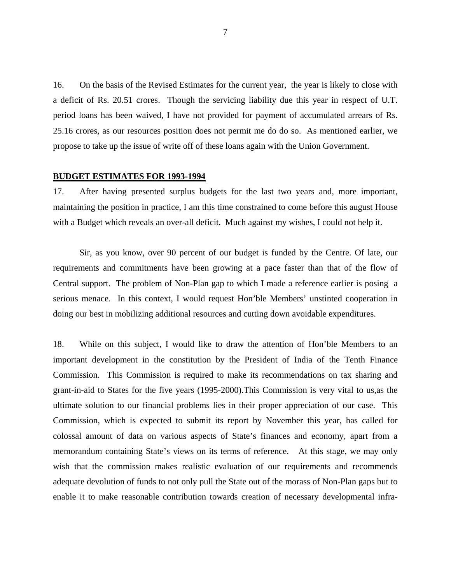16. On the basis of the Revised Estimates for the current year, the year is likely to close with a deficit of Rs. 20.51 crores. Though the servicing liability due this year in respect of U.T. period loans has been waived, I have not provided for payment of accumulated arrears of Rs. 25.16 crores, as our resources position does not permit me do do so. As mentioned earlier, we propose to take up the issue of write off of these loans again with the Union Government.

#### **BUDGET ESTIMATES FOR 1993-1994**

17. After having presented surplus budgets for the last two years and, more important, maintaining the position in practice, I am this time constrained to come before this august House with a Budget which reveals an over-all deficit. Much against my wishes, I could not help it.

Sir, as you know, over 90 percent of our budget is funded by the Centre. Of late, our requirements and commitments have been growing at a pace faster than that of the flow of Central support. The problem of Non-Plan gap to which I made a reference earlier is posing a serious menace. In this context, I would request Hon'ble Members' unstinted cooperation in doing our best in mobilizing additional resources and cutting down avoidable expenditures.

18. While on this subject, I would like to draw the attention of Hon'ble Members to an important development in the constitution by the President of India of the Tenth Finance Commission. This Commission is required to make its recommendations on tax sharing and grant-in-aid to States for the five years (1995-2000).This Commission is very vital to us,as the ultimate solution to our financial problems lies in their proper appreciation of our case. This Commission, which is expected to submit its report by November this year, has called for colossal amount of data on various aspects of State's finances and economy, apart from a memorandum containing State's views on its terms of reference. At this stage, we may only wish that the commission makes realistic evaluation of our requirements and recommends adequate devolution of funds to not only pull the State out of the morass of Non-Plan gaps but to enable it to make reasonable contribution towards creation of necessary developmental infra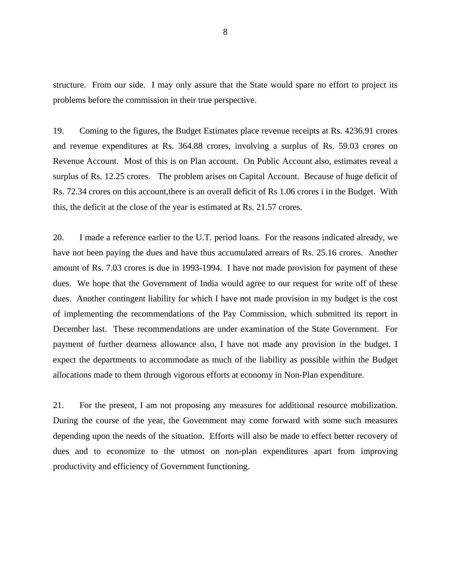structure. From our side. I may only assure that the State would spare no effort to project its problems before the commission in their true perspective.

19. Coming to the figures, the Budget Estimates place revenue receipts at Rs. 4236.91 crores and revenue expenditures at Rs. 364.88 crores, involving a surplus of Rs. 59.03 crores on Revenue Account. Most of this is on Plan account. On Public Account also, estimates reveal a surplus of Rs. 12.25 crores. The problem arises on Capital Account. Because of huge deficit of Rs. 72.34 crores on this account,there is an overall deficit of Rs 1.06 crores i in the Budget. With this, the deficit at the close of the year is estimated at Rs. 21.57 crores.

20. I made a reference earlier to the U.T. period loans. For the reasons indicated already, we have not been paying the dues and have thus accumulated arrears of Rs. 25.16 crores. Another amount of Rs. 7.03 crores is due in 1993-1994. I have not made provision for payment of these dues. We hope that the Government of India would agree to our request for write off of these dues. Another contingent liability for which I have not made provision in my budget is the cost of implementing the recommendations of the Pay Commission, which submitted its report in December last. These recommendations are under examination of the State Government. For payment of further dearness allowance also, I have not made any provision in the budget. I expect the departments to accommodate as much of the liability as possible within the Budget allocations made to them through vigorous efforts at economy in Non-Plan expenditure.

21. For the present, I am not proposing any measures for additional resource mobilization. During the course of the year, the Government may come forward with some such measures depending upon the needs of the situation. Efforts will also be made to effect better recovery of dues and to economize to the utmost on non-plan expenditures apart from improving productivity and efficiency of Government functioning.